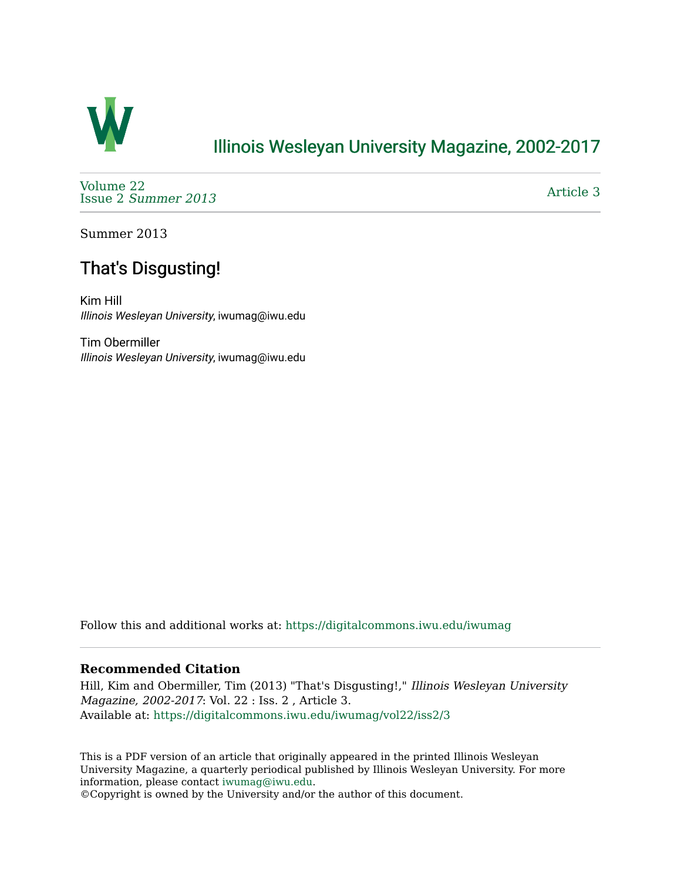

## [Illinois Wesleyan University Magazine, 2002-2017](https://digitalcommons.iwu.edu/iwumag)

[Volume 22](https://digitalcommons.iwu.edu/iwumag/vol22)  Issue 2 [Summer 2013](https://digitalcommons.iwu.edu/iwumag/vol22/iss2) 

[Article 3](https://digitalcommons.iwu.edu/iwumag/vol22/iss2/3) 

Summer 2013

# That's Disgusting!

Kim Hill Illinois Wesleyan University, iwumag@iwu.edu

Tim Obermiller Illinois Wesleyan University, iwumag@iwu.edu

Follow this and additional works at: [https://digitalcommons.iwu.edu/iwumag](https://digitalcommons.iwu.edu/iwumag?utm_source=digitalcommons.iwu.edu%2Fiwumag%2Fvol22%2Fiss2%2F3&utm_medium=PDF&utm_campaign=PDFCoverPages) 

### **Recommended Citation**

Hill, Kim and Obermiller, Tim (2013) "That's Disgusting!," Illinois Wesleyan University Magazine, 2002-2017: Vol. 22 : Iss. 2 , Article 3. Available at: [https://digitalcommons.iwu.edu/iwumag/vol22/iss2/3](https://digitalcommons.iwu.edu/iwumag/vol22/iss2/3?utm_source=digitalcommons.iwu.edu%2Fiwumag%2Fvol22%2Fiss2%2F3&utm_medium=PDF&utm_campaign=PDFCoverPages)

This is a PDF version of an article that originally appeared in the printed Illinois Wesleyan University Magazine, a quarterly periodical published by Illinois Wesleyan University. For more information, please contact [iwumag@iwu.edu](mailto:iwumag@iwu.edu).

©Copyright is owned by the University and/or the author of this document.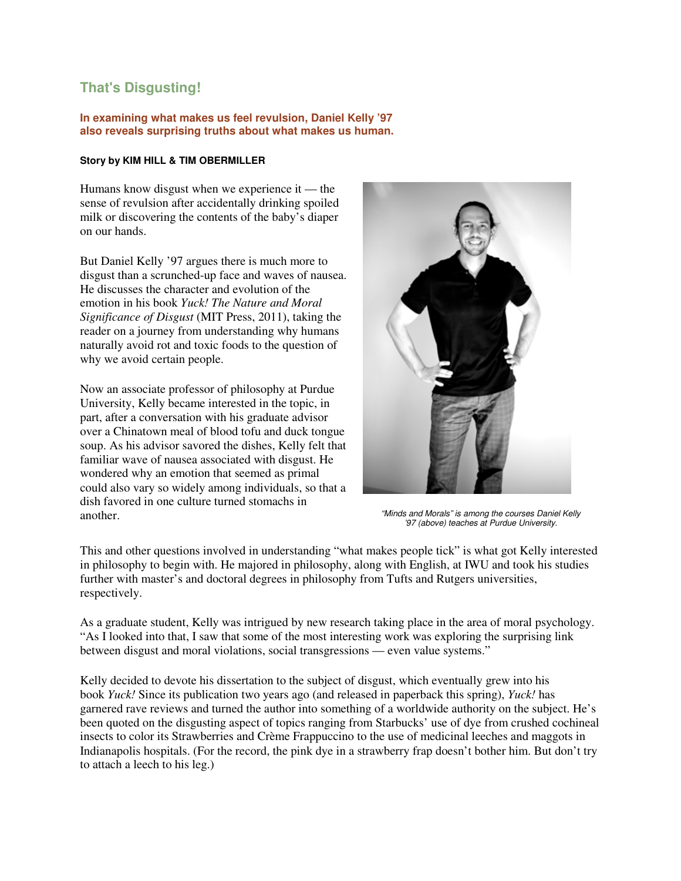## **That's Disgusting!**

#### **In examining what makes us feel revulsion, Daniel Kelly '97 also reveals surprising truths about what makes us human.**

#### **Story by KIM HILL & TIM OBERMILLER**

Humans know disgust when we experience it — the sense of revulsion after accidentally drinking spoiled milk or discovering the contents of the baby's diaper on our hands.

But Daniel Kelly '97 argues there is much more to disgust than a scrunched-up face and waves of nausea. He discusses the character and evolution of the emotion in his book *Yuck! The Nature and Moral Significance of Disgust* (MIT Press, 2011), taking the reader on a journey from understanding why humans naturally avoid rot and toxic foods to the question of why we avoid certain people.

Now an associate professor of philosophy at Purdue University, Kelly became interested in the topic, in part, after a conversation with his graduate advisor over a Chinatown meal of blood tofu and duck tongue soup. As his advisor savored the dishes, Kelly felt that familiar wave of nausea associated with disgust. He wondered why an emotion that seemed as primal could also vary so widely among individuals, so that a dish favored in one culture turned stomachs in another. "Minds and Morals" is among the courses Daniel Kelly



'97 (above) teaches at Purdue University.

This and other questions involved in understanding "what makes people tick" is what got Kelly interested in philosophy to begin with. He majored in philosophy, along with English, at IWU and took his studies further with master's and doctoral degrees in philosophy from Tufts and Rutgers universities, respectively.

As a graduate student, Kelly was intrigued by new research taking place in the area of moral psychology. "As I looked into that, I saw that some of the most interesting work was exploring the surprising link between disgust and moral violations, social transgressions — even value systems."

Kelly decided to devote his dissertation to the subject of disgust, which eventually grew into his book *Yuck!* Since its publication two years ago (and released in paperback this spring), *Yuck!* has garnered rave reviews and turned the author into something of a worldwide authority on the subject. He's been quoted on the disgusting aspect of topics ranging from Starbucks' use of dye from crushed cochineal insects to color its Strawberries and Crème Frappuccino to the use of medicinal leeches and maggots in Indianapolis hospitals. (For the record, the pink dye in a strawberry frap doesn't bother him. But don't try to attach a leech to his leg.)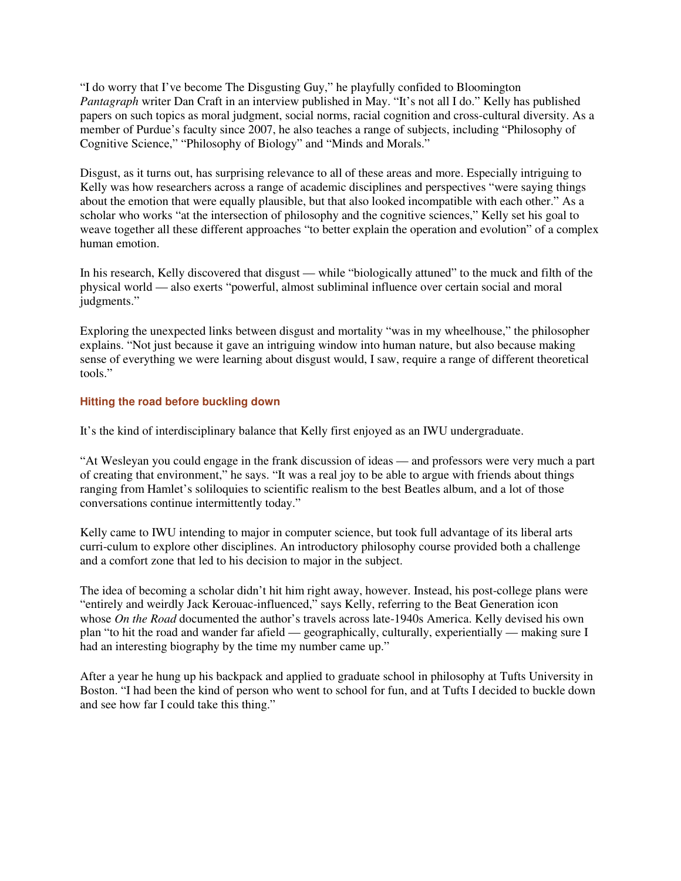"I do worry that I've become The Disgusting Guy," he playfully confided to Bloomington *Pantagraph* writer Dan Craft in an interview published in May. "It's not all I do." Kelly has published papers on such topics as moral judgment, social norms, racial cognition and cross-cultural diversity. As a member of Purdue's faculty since 2007, he also teaches a range of subjects, including "Philosophy of Cognitive Science," "Philosophy of Biology" and "Minds and Morals."

Disgust, as it turns out, has surprising relevance to all of these areas and more. Especially intriguing to Kelly was how researchers across a range of academic disciplines and perspectives "were saying things about the emotion that were equally plausible, but that also looked incompatible with each other." As a scholar who works "at the intersection of philosophy and the cognitive sciences," Kelly set his goal to weave together all these different approaches "to better explain the operation and evolution" of a complex human emotion.

In his research, Kelly discovered that disgust — while "biologically attuned" to the muck and filth of the physical world — also exerts "powerful, almost subliminal influence over certain social and moral judgments."

Exploring the unexpected links between disgust and mortality "was in my wheelhouse," the philosopher explains. "Not just because it gave an intriguing window into human nature, but also because making sense of everything we were learning about disgust would, I saw, require a range of different theoretical tools."

#### **Hitting the road before buckling down**

It's the kind of interdisciplinary balance that Kelly first enjoyed as an IWU undergraduate.

"At Wesleyan you could engage in the frank discussion of ideas — and professors were very much a part of creating that environment," he says. "It was a real joy to be able to argue with friends about things ranging from Hamlet's soliloquies to scientific realism to the best Beatles album, and a lot of those conversations continue intermittently today."

Kelly came to IWU intending to major in computer science, but took full advantage of its liberal arts curri-culum to explore other disciplines. An introductory philosophy course provided both a challenge and a comfort zone that led to his decision to major in the subject.

The idea of becoming a scholar didn't hit him right away, however. Instead, his post-college plans were "entirely and weirdly Jack Kerouac-influenced," says Kelly, referring to the Beat Generation icon whose *On the Road* documented the author's travels across late-1940s America. Kelly devised his own plan "to hit the road and wander far afield — geographically, culturally, experientially — making sure I had an interesting biography by the time my number came up."

After a year he hung up his backpack and applied to graduate school in philosophy at Tufts University in Boston. "I had been the kind of person who went to school for fun, and at Tufts I decided to buckle down and see how far I could take this thing."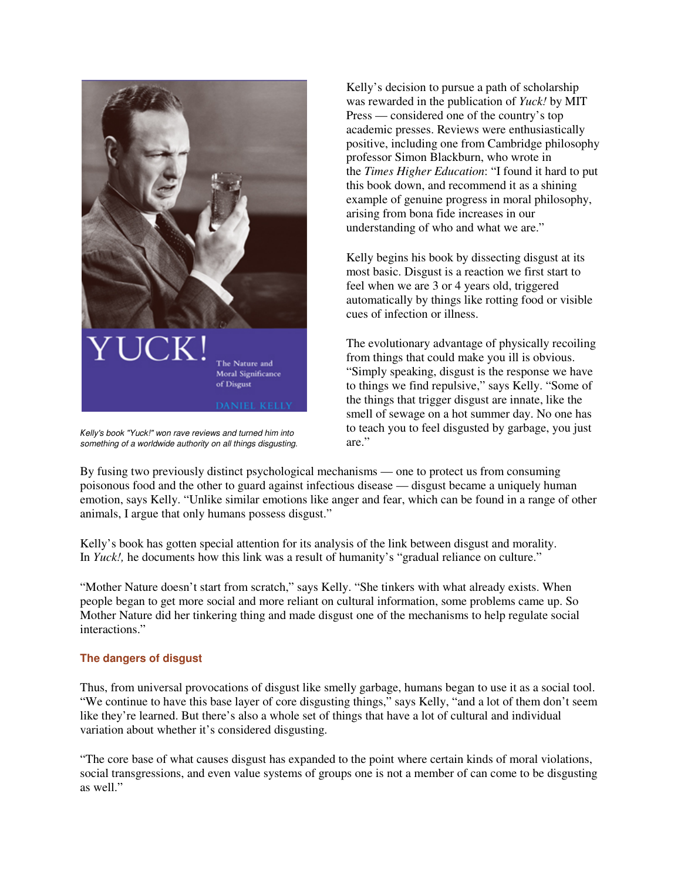

Kelly's book "Yuck!" won rave reviews and turned him into something of a worldwide authority on all things disgusting.

Kelly's decision to pursue a path of scholarship was rewarded in the publication of *Yuck!* by MIT Press — considered one of the country's top academic presses. Reviews were enthusiastically positive, including one from Cambridge philosophy professor Simon Blackburn, who wrote in the *Times Higher Education*: "I found it hard to put this book down, and recommend it as a shining example of genuine progress in moral philosophy, arising from bona fide increases in our understanding of who and what we are."

Kelly begins his book by dissecting disgust at its most basic. Disgust is a reaction we first start to feel when we are 3 or 4 years old, triggered automatically by things like rotting food or visible cues of infection or illness.

The evolutionary advantage of physically recoiling from things that could make you ill is obvious. "Simply speaking, disgust is the response we have to things we find repulsive," says Kelly. "Some of the things that trigger disgust are innate, like the smell of sewage on a hot summer day. No one has to teach you to feel disgusted by garbage, you just are."

By fusing two previously distinct psychological mechanisms — one to protect us from consuming poisonous food and the other to guard against infectious disease — disgust became a uniquely human emotion, says Kelly. "Unlike similar emotions like anger and fear, which can be found in a range of other animals, I argue that only humans possess disgust."

Kelly's book has gotten special attention for its analysis of the link between disgust and morality. In *Yuck!*, he documents how this link was a result of humanity's "gradual reliance on culture."

"Mother Nature doesn't start from scratch," says Kelly. "She tinkers with what already exists. When people began to get more social and more reliant on cultural information, some problems came up. So Mother Nature did her tinkering thing and made disgust one of the mechanisms to help regulate social interactions."

#### **The dangers of disgust**

Thus, from universal provocations of disgust like smelly garbage, humans began to use it as a social tool. "We continue to have this base layer of core disgusting things," says Kelly, "and a lot of them don't seem like they're learned. But there's also a whole set of things that have a lot of cultural and individual variation about whether it's considered disgusting.

"The core base of what causes disgust has expanded to the point where certain kinds of moral violations, social transgressions, and even value systems of groups one is not a member of can come to be disgusting as well."